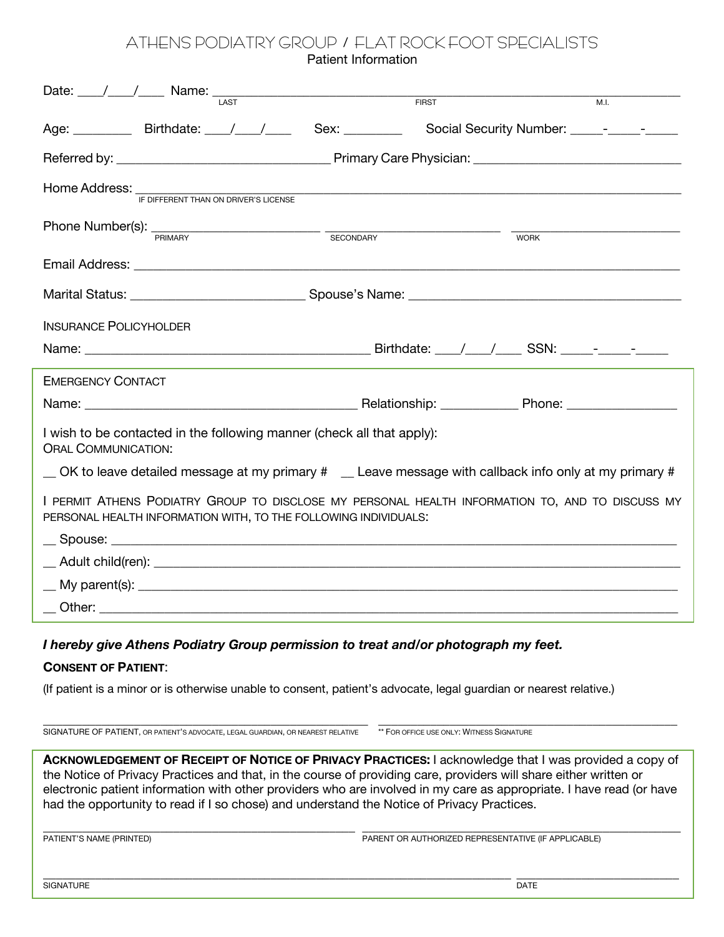## **ATHENS PODIATRY GROUP** / **FLAT ROCK FOOT SPECIALISTS**

Patient Information

| Date: $\frac{1}{\sqrt{1-\frac{1}{n}}}$ Name: $\frac{1}{\sqrt{1-\frac{1}{n}}}$                                                                                                                                                                                                                                                                                                                                                                     | <b>FIRST</b> |                                                     | M.I.        |  |  |  |
|---------------------------------------------------------------------------------------------------------------------------------------------------------------------------------------------------------------------------------------------------------------------------------------------------------------------------------------------------------------------------------------------------------------------------------------------------|--------------|-----------------------------------------------------|-------------|--|--|--|
| Age: ___________ Birthdate: ___/___/ _____ Sex: _________ Social Security Number: _____- _____-                                                                                                                                                                                                                                                                                                                                                   |              |                                                     |             |  |  |  |
|                                                                                                                                                                                                                                                                                                                                                                                                                                                   |              |                                                     |             |  |  |  |
| Home Address: IF DIFFERENT THAN ON DRIVER'S LICENSE                                                                                                                                                                                                                                                                                                                                                                                               |              |                                                     |             |  |  |  |
| Phone Number(s): PRIMARY                                                                                                                                                                                                                                                                                                                                                                                                                          | SECONDARY    |                                                     | <b>WORK</b> |  |  |  |
|                                                                                                                                                                                                                                                                                                                                                                                                                                                   |              |                                                     |             |  |  |  |
|                                                                                                                                                                                                                                                                                                                                                                                                                                                   |              |                                                     |             |  |  |  |
| <b>INSURANCE POLICYHOLDER</b>                                                                                                                                                                                                                                                                                                                                                                                                                     |              |                                                     |             |  |  |  |
|                                                                                                                                                                                                                                                                                                                                                                                                                                                   |              |                                                     |             |  |  |  |
| <b>EMERGENCY CONTACT</b>                                                                                                                                                                                                                                                                                                                                                                                                                          |              |                                                     |             |  |  |  |
|                                                                                                                                                                                                                                                                                                                                                                                                                                                   |              |                                                     |             |  |  |  |
| I wish to be contacted in the following manner (check all that apply):<br><b>ORAL COMMUNICATION:</b>                                                                                                                                                                                                                                                                                                                                              |              |                                                     |             |  |  |  |
| $\pm$ OK to leave detailed message at my primary $\#$ $\pm$ Leave message with callback info only at my primary $\#$                                                                                                                                                                                                                                                                                                                              |              |                                                     |             |  |  |  |
| I PERMIT ATHENS PODIATRY GROUP TO DISCLOSE MY PERSONAL HEALTH INFORMATION TO, AND TO DISCUSS MY<br>PERSONAL HEALTH INFORMATION WITH, TO THE FOLLOWING INDIVIDUALS:                                                                                                                                                                                                                                                                                |              |                                                     |             |  |  |  |
|                                                                                                                                                                                                                                                                                                                                                                                                                                                   |              |                                                     |             |  |  |  |
|                                                                                                                                                                                                                                                                                                                                                                                                                                                   |              |                                                     |             |  |  |  |
|                                                                                                                                                                                                                                                                                                                                                                                                                                                   |              |                                                     |             |  |  |  |
| Other:                                                                                                                                                                                                                                                                                                                                                                                                                                            |              |                                                     |             |  |  |  |
| I hereby give Athens Podiatry Group permission to treat and/or photograph my feet.                                                                                                                                                                                                                                                                                                                                                                |              |                                                     |             |  |  |  |
| <b>CONSENT OF PATIENT:</b>                                                                                                                                                                                                                                                                                                                                                                                                                        |              |                                                     |             |  |  |  |
| (If patient is a minor or is otherwise unable to consent, patient's advocate, legal guardian or nearest relative.)                                                                                                                                                                                                                                                                                                                                |              |                                                     |             |  |  |  |
| SIGNATURE OF PATIENT, OR PATIENT'S ADVOCATE, LEGAL GUARDIAN, OR NEAREST RELATIVE                                                                                                                                                                                                                                                                                                                                                                  |              | ** FOR OFFICE USE ONLY: WITNESS SIGNATURE           |             |  |  |  |
| ACKNOWLEDGEMENT OF RECEIPT OF NOTICE OF PRIVACY PRACTICES: I acknowledge that I was provided a copy of<br>the Notice of Privacy Practices and that, in the course of providing care, providers will share either written or<br>electronic patient information with other providers who are involved in my care as appropriate. I have read (or have<br>had the opportunity to read if I so chose) and understand the Notice of Privacy Practices. |              |                                                     |             |  |  |  |
| PATIENT'S NAME (PRINTED)                                                                                                                                                                                                                                                                                                                                                                                                                          |              | PARENT OR AUTHORIZED REPRESENTATIVE (IF APPLICABLE) |             |  |  |  |

SIGNATURE DATE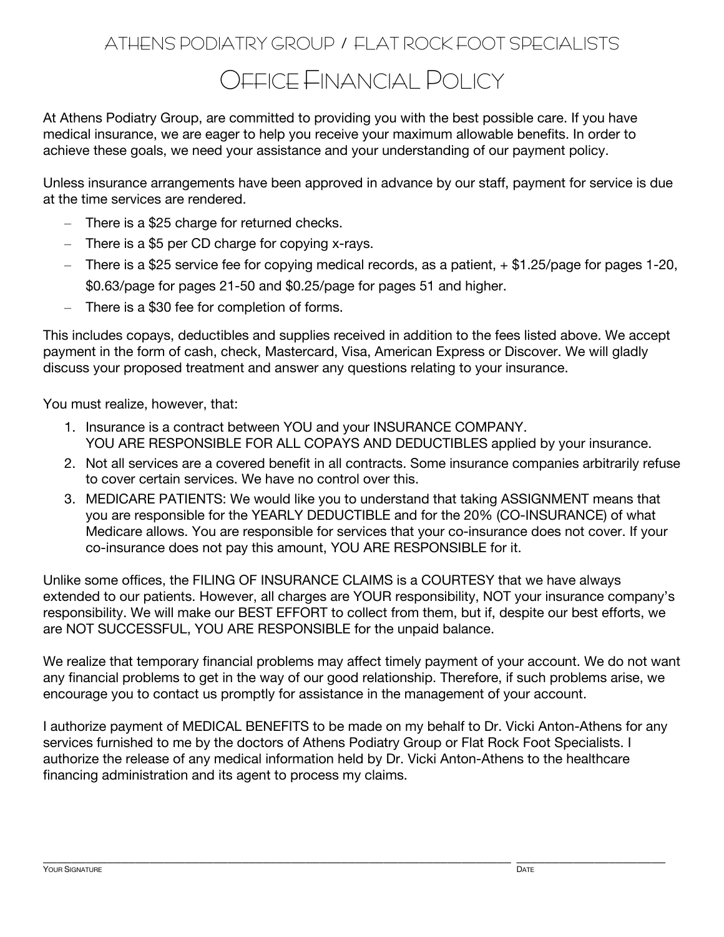## **ATHENS PODIATRY GROUP** / **FLAT ROCK FOOT SPECIALISTS OFFICE FINANCIAL POLICY**

At Athens Podiatry Group, are committed to providing you with the best possible care. If you have medical insurance, we are eager to help you receive your maximum allowable benefits. In order to achieve these goals, we need your assistance and your understanding of our payment policy.

Unless insurance arrangements have been approved in advance by our staff, payment for service is due at the time services are rendered.

- There is a \$25 charge for returned checks.
- $-$  There is a \$5 per CD charge for copying x-rays.
- $-$  There is a \$25 service fee for copying medical records, as a patient,  $+$  \$1.25/page for pages 1-20, \$0.63/page for pages 21-50 and \$0.25/page for pages 51 and higher.
- There is a \$30 fee for completion of forms.

This includes copays, deductibles and supplies received in addition to the fees listed above. We accept payment in the form of cash, check, Mastercard, Visa, American Express or Discover. We will gladly discuss your proposed treatment and answer any questions relating to your insurance.

You must realize, however, that:

- 1. Insurance is a contract between YOU and your INSURANCE COMPANY. YOU ARE RESPONSIBLE FOR ALL COPAYS AND DEDUCTIBLES applied by your insurance.
- 2. Not all services are a covered benefit in all contracts. Some insurance companies arbitrarily refuse to cover certain services. We have no control over this.
- 3. MEDICARE PATIENTS: We would like you to understand that taking ASSIGNMENT means that you are responsible for the YEARLY DEDUCTIBLE and for the 20% (CO-INSURANCE) of what Medicare allows. You are responsible for services that your co-insurance does not cover. If your co-insurance does not pay this amount, YOU ARE RESPONSIBLE for it.

Unlike some offices, the FILING OF INSURANCE CLAIMS is a COURTESY that we have always extended to our patients. However, all charges are YOUR responsibility, NOT your insurance company's responsibility. We will make our BEST EFFORT to collect from them, but if, despite our best efforts, we are NOT SUCCESSFUL, YOU ARE RESPONSIBLE for the unpaid balance.

We realize that temporary financial problems may affect timely payment of your account. We do not want any financial problems to get in the way of our good relationship. Therefore, if such problems arise, we encourage you to contact us promptly for assistance in the management of your account.

I authorize payment of MEDICAL BENEFITS to be made on my behalf to Dr. Vicki Anton-Athens for any services furnished to me by the doctors of Athens Podiatry Group or Flat Rock Foot Specialists. I authorize the release of any medical information held by Dr. Vicki Anton-Athens to the healthcare financing administration and its agent to process my claims.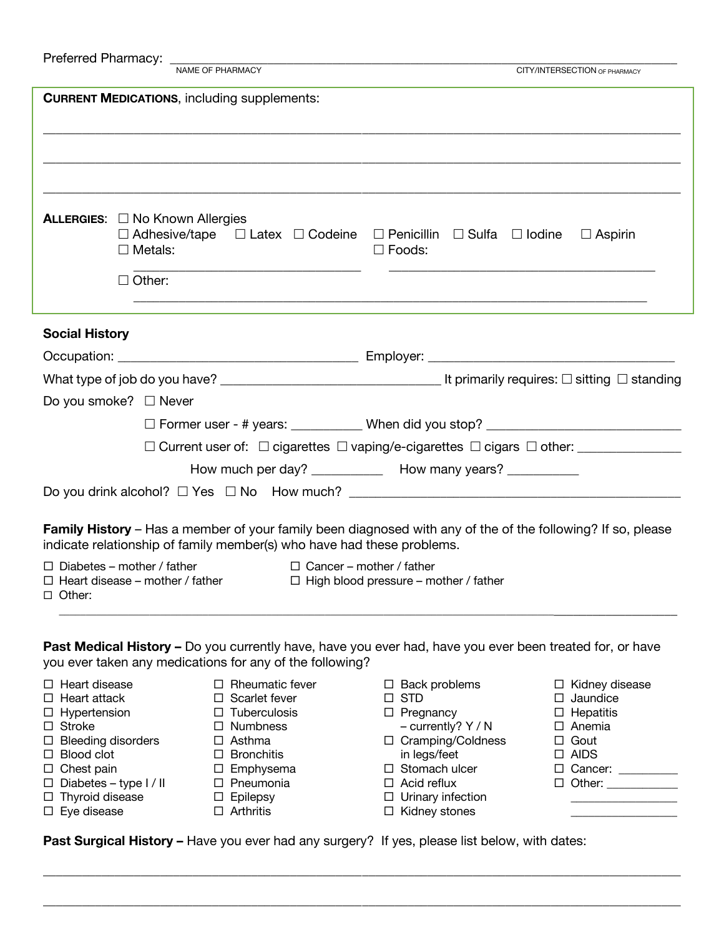|                                                                                                                                                                                                                                             | Preferred Pharmacy: MAME OF PHARMACY                                                |                                                                                                                                                                                                               |                                                                                                                                                                                                                         | CITY/INTERSECTION OF PHARMACY                                                                                                                        |  |  |
|---------------------------------------------------------------------------------------------------------------------------------------------------------------------------------------------------------------------------------------------|-------------------------------------------------------------------------------------|---------------------------------------------------------------------------------------------------------------------------------------------------------------------------------------------------------------|-------------------------------------------------------------------------------------------------------------------------------------------------------------------------------------------------------------------------|------------------------------------------------------------------------------------------------------------------------------------------------------|--|--|
|                                                                                                                                                                                                                                             |                                                                                     | <b>CURRENT MEDICATIONS, including supplements:</b>                                                                                                                                                            |                                                                                                                                                                                                                         |                                                                                                                                                      |  |  |
|                                                                                                                                                                                                                                             |                                                                                     |                                                                                                                                                                                                               |                                                                                                                                                                                                                         |                                                                                                                                                      |  |  |
|                                                                                                                                                                                                                                             |                                                                                     |                                                                                                                                                                                                               |                                                                                                                                                                                                                         |                                                                                                                                                      |  |  |
|                                                                                                                                                                                                                                             |                                                                                     |                                                                                                                                                                                                               |                                                                                                                                                                                                                         |                                                                                                                                                      |  |  |
|                                                                                                                                                                                                                                             |                                                                                     |                                                                                                                                                                                                               |                                                                                                                                                                                                                         |                                                                                                                                                      |  |  |
|                                                                                                                                                                                                                                             | <b>ALLERGIES:</b> $\Box$ No Known Allergies<br>$\Box$ Metals:                       |                                                                                                                                                                                                               | $\Box$ Adhesive/tape $\Box$ Latex $\Box$ Codeine $\Box$ Penicillin $\Box$ Sulfa $\Box$ Iodine<br>$\Box$ Foods:                                                                                                          | $\Box$ Aspirin                                                                                                                                       |  |  |
|                                                                                                                                                                                                                                             | $\Box$ Other:                                                                       |                                                                                                                                                                                                               | ,我们也不能在这里的时候,我们也不能在这里的时候,我们也不能不能不能不能不能不能不能不能不能不能不能不能。""我们的是我们的,我们也不能不能不能不能不能不能不能                                                                                                                                        |                                                                                                                                                      |  |  |
| <b>Social History</b>                                                                                                                                                                                                                       |                                                                                     |                                                                                                                                                                                                               |                                                                                                                                                                                                                         |                                                                                                                                                      |  |  |
|                                                                                                                                                                                                                                             |                                                                                     |                                                                                                                                                                                                               |                                                                                                                                                                                                                         |                                                                                                                                                      |  |  |
|                                                                                                                                                                                                                                             |                                                                                     |                                                                                                                                                                                                               |                                                                                                                                                                                                                         |                                                                                                                                                      |  |  |
|                                                                                                                                                                                                                                             | Do you smoke? $\Box$ Never                                                          |                                                                                                                                                                                                               |                                                                                                                                                                                                                         |                                                                                                                                                      |  |  |
|                                                                                                                                                                                                                                             |                                                                                     |                                                                                                                                                                                                               |                                                                                                                                                                                                                         |                                                                                                                                                      |  |  |
|                                                                                                                                                                                                                                             |                                                                                     |                                                                                                                                                                                                               |                                                                                                                                                                                                                         |                                                                                                                                                      |  |  |
|                                                                                                                                                                                                                                             |                                                                                     |                                                                                                                                                                                                               | How much per day? ____________ How many years? __________                                                                                                                                                               |                                                                                                                                                      |  |  |
|                                                                                                                                                                                                                                             |                                                                                     |                                                                                                                                                                                                               |                                                                                                                                                                                                                         |                                                                                                                                                      |  |  |
| <b>Family History</b> – Has a member of your family been diagnosed with any of the of the following? If so, please<br>indicate relationship of family member(s) who have had these problems.                                                |                                                                                     |                                                                                                                                                                                                               |                                                                                                                                                                                                                         |                                                                                                                                                      |  |  |
|                                                                                                                                                                                                                                             | $\Box$ Diabetes – mother / father<br>$\Box$ Cancer – mother / father                |                                                                                                                                                                                                               |                                                                                                                                                                                                                         |                                                                                                                                                      |  |  |
| $\Box$ Other:                                                                                                                                                                                                                               | $\Box$ Heart disease – mother / father $\Box$ High blood pressure – mother / father |                                                                                                                                                                                                               |                                                                                                                                                                                                                         |                                                                                                                                                      |  |  |
|                                                                                                                                                                                                                                             |                                                                                     |                                                                                                                                                                                                               |                                                                                                                                                                                                                         |                                                                                                                                                      |  |  |
|                                                                                                                                                                                                                                             |                                                                                     | you ever taken any medications for any of the following?                                                                                                                                                      | Past Medical History - Do you currently have, have you ever had, have you ever been treated for, or have                                                                                                                |                                                                                                                                                      |  |  |
| $\Box$ Heart disease<br>$\Box$ Heart attack<br>$\Box$ Hypertension<br>$\Box$ Stroke<br>$\Box$ Bleeding disorders<br>$\Box$ Blood clot<br>$\Box$ Chest pain<br>$\Box$ Diabetes - type I / II<br>$\Box$ Thyroid disease<br>$\Box$ Eye disease |                                                                                     | $\Box$ Rheumatic fever<br>$\Box$ Scarlet fever<br>$\Box$ Tuberculosis<br>$\Box$ Numbness<br>$\Box$ Asthma<br>$\Box$ Bronchitis<br>$\Box$ Emphysema<br>$\Box$ Pneumonia<br>$\Box$ Epilepsy<br>$\Box$ Arthritis | $\Box$ Back problems<br>$\Box$ STD<br>$\Box$ Pregnancy<br>$-$ currently? Y / N<br>$\Box$ Cramping/Coldness<br>in legs/feet<br>□ Stomach ulcer<br>$\Box$ Acid reflux<br>$\Box$ Urinary infection<br>$\Box$ Kidney stones | $\Box$ Kidney disease<br>$\Box$ Jaundice<br>$\Box$ Hepatitis<br>$\Box$ Anemia<br>$\Box$ Gout<br>$\Box$ AIDS<br>$\Box$ Cancer: $\_\_\_\_\_\_\_\_\_\_$ |  |  |

Past Surgical History - Have you ever had any surgery? If yes, please list below, with dates:

\_\_\_\_\_\_\_\_\_\_\_\_\_\_\_\_\_\_\_\_\_\_\_\_\_\_\_\_\_\_\_\_\_\_\_\_\_\_\_\_\_\_\_\_\_\_\_\_\_\_\_\_\_\_\_\_\_\_\_\_\_\_\_\_\_\_\_\_\_\_\_\_\_\_\_\_\_\_\_\_\_\_\_\_\_\_\_\_\_\_\_\_\_\_\_\_\_\_

\_\_\_\_\_\_\_\_\_\_\_\_\_\_\_\_\_\_\_\_\_\_\_\_\_\_\_\_\_\_\_\_\_\_\_\_\_\_\_\_\_\_\_\_\_\_\_\_\_\_\_\_\_\_\_\_\_\_\_\_\_\_\_\_\_\_\_\_\_\_\_\_\_\_\_\_\_\_\_\_\_\_\_\_\_\_\_\_\_\_\_\_\_\_\_\_\_\_